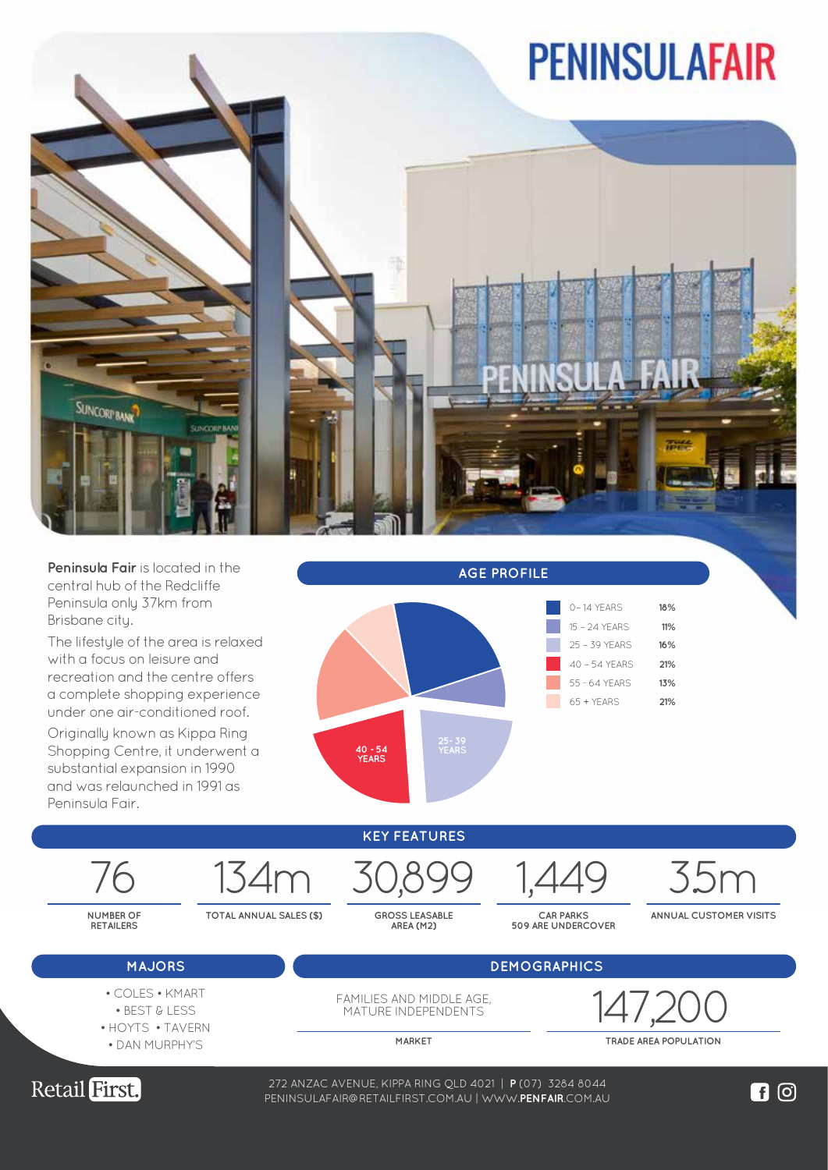## **PENINSULAFAIR**



**Peninsula Fair** is located in the central hub of the Redcliffe Peninsula only 37km from Brisbane city.

The lifestyle of the area is relaxed with a focus on leisure and recreation and the centre offers a complete shopping experience under one air-conditioned roof.

Originally known as Kippa Ring Shopping Centre, it underwent a substantial expansion in 1990 and was relaunched in 1991 as Penins



**MAJORS DEMOGRAPHICS KEY FEATURES NUMBER OF RETAILERS TOTAL ANNUAL SALES (\$) GROSS LEASABLE AREA (M2) CAR PARKS 509 ARE UNDERCOVER ANNUAL CUSTOMER VISITS** 76 134m 30,899 1,449 3.5m

- 
- COLES KMART
- BEST & LESS • HOYTS • TAVERN
- DAN MURPHY'S

FAMILIES AND MIDDLE AGE, MATURE INDEPENDENTS

147,20

**MARKET TRADE AREA POPULATION**



272 ANZAC AVENUE, KIPPA RING QLD 4021 | **P** (07) 3284 8044 WWW.**LOGANCENTRALPLAZA**.COM.AU PENINSULAFAIR@RETAILFIRST.COM.AU | WWW.**PENFAIR**.COM.AU